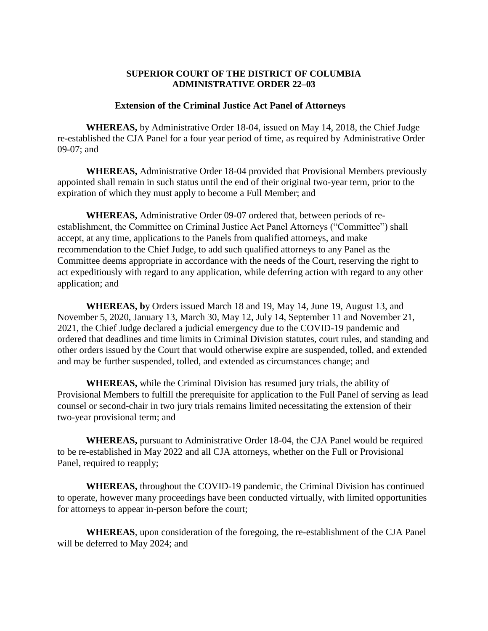## **SUPERIOR COURT OF THE DISTRICT OF COLUMBIA ADMINISTRATIVE ORDER 22–03**

## **Extension of the Criminal Justice Act Panel of Attorneys**

**WHEREAS,** by Administrative Order 18-04, issued on May 14, 2018, the Chief Judge re-established the CJA Panel for a four year period of time, as required by Administrative Order 09-07; and

**WHEREAS,** Administrative Order 18-04 provided that Provisional Members previously appointed shall remain in such status until the end of their original two-year term, prior to the expiration of which they must apply to become a Full Member; and

**WHEREAS,** Administrative Order 09-07 ordered that, between periods of reestablishment, the Committee on Criminal Justice Act Panel Attorneys ("Committee") shall accept, at any time, applications to the Panels from qualified attorneys, and make recommendation to the Chief Judge, to add such qualified attorneys to any Panel as the Committee deems appropriate in accordance with the needs of the Court, reserving the right to act expeditiously with regard to any application, while deferring action with regard to any other application; and

**WHEREAS, b**y Orders issued March 18 and 19, May 14, June 19, August 13, and November 5, 2020, January 13, March 30, May 12, July 14, September 11 and November 21, 2021, the Chief Judge declared a judicial emergency due to the COVID-19 pandemic and ordered that deadlines and time limits in Criminal Division statutes, court rules, and standing and other orders issued by the Court that would otherwise expire are suspended, tolled, and extended and may be further suspended, tolled, and extended as circumstances change; and

**WHEREAS,** while the Criminal Division has resumed jury trials, the ability of Provisional Members to fulfill the prerequisite for application to the Full Panel of serving as lead counsel or second-chair in two jury trials remains limited necessitating the extension of their two-year provisional term; and

**WHEREAS,** pursuant to Administrative Order 18-04, the CJA Panel would be required to be re-established in May 2022 and all CJA attorneys, whether on the Full or Provisional Panel, required to reapply;

**WHEREAS,** throughout the COVID-19 pandemic, the Criminal Division has continued to operate, however many proceedings have been conducted virtually, with limited opportunities for attorneys to appear in-person before the court;

**WHEREAS**, upon consideration of the foregoing, the re-establishment of the CJA Panel will be deferred to May 2024; and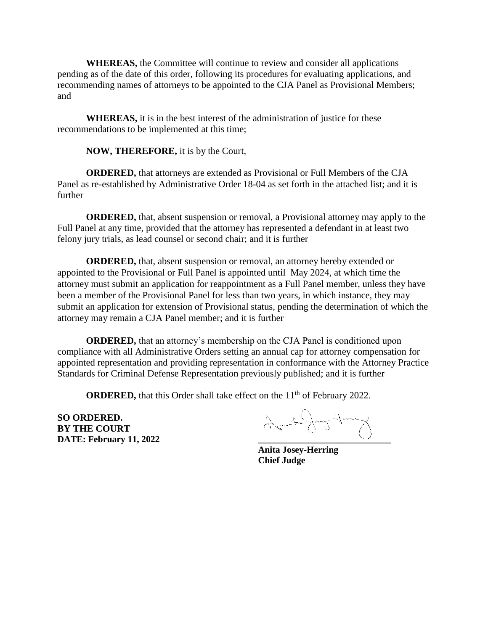**WHEREAS,** the Committee will continue to review and consider all applications pending as of the date of this order, following its procedures for evaluating applications, and recommending names of attorneys to be appointed to the CJA Panel as Provisional Members; and

**WHEREAS,** it is in the best interest of the administration of justice for these recommendations to be implemented at this time;

**NOW, THEREFORE,** it is by the Court,

**ORDERED,** that attorneys are extended as Provisional or Full Members of the CJA Panel as re-established by Administrative Order 18-04 as set forth in the attached list; and it is further

**ORDERED,** that, absent suspension or removal, a Provisional attorney may apply to the Full Panel at any time, provided that the attorney has represented a defendant in at least two felony jury trials, as lead counsel or second chair; and it is further

**ORDERED,** that, absent suspension or removal, an attorney hereby extended or appointed to the Provisional or Full Panel is appointed until May 2024, at which time the attorney must submit an application for reappointment as a Full Panel member, unless they have been a member of the Provisional Panel for less than two years, in which instance, they may submit an application for extension of Provisional status, pending the determination of which the attorney may remain a CJA Panel member; and it is further

**ORDERED,** that an attorney's membership on the CJA Panel is conditioned upon compliance with all Administrative Orders setting an annual cap for attorney compensation for appointed representation and providing representation in conformance with the Attorney Practice Standards for Criminal Defense Representation previously published; and it is further

**ORDERED,** that this Order shall take effect on the 11<sup>th</sup> of February 2022.

**SO ORDERED. BY THE COURT**

**SO ORDERED.**<br> **BY THE COURT**<br> **DATE:** February 11, 2022

**Anita Josey-Herring Chief Judge**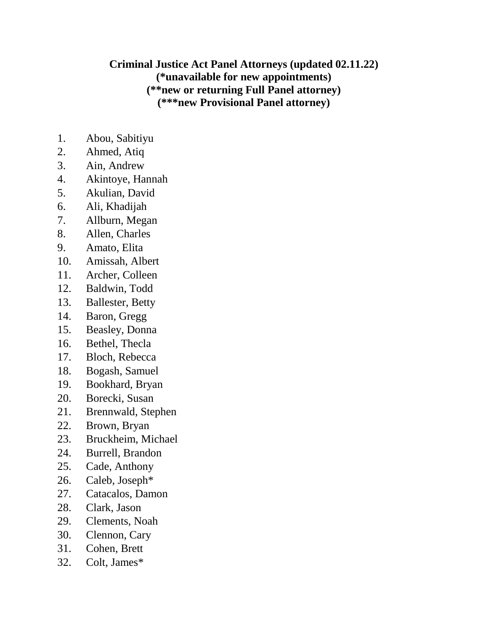## **Criminal Justice Act Panel Attorneys (updated 02.11.22) (\*unavailable for new appointments) (\*\*new or returning Full Panel attorney) (\*\*\*new Provisional Panel attorney)**

- 1. Abou, Sabitiyu
- 2. Ahmed, Atiq
- 3. Ain, Andrew
- 4. Akintoye, Hannah
- 5. Akulian, David
- 6. Ali, Khadijah
- 7. Allburn, Megan
- 8. Allen, Charles
- 9. Amato, Elita
- 10. Amissah, Albert
- 11. Archer, Colleen
- 12. Baldwin, Todd
- 13. Ballester, Betty
- 14. Baron, Gregg
- 15. Beasley, Donna
- 16. Bethel, Thecla
- 17. Bloch, Rebecca
- 18. Bogash, Samuel
- 19. Bookhard, Bryan
- 20. Borecki, Susan
- 21. Brennwald, Stephen
- 22. Brown, Bryan
- 23. Bruckheim, Michael
- 24. Burrell, Brandon
- 25. Cade, Anthony
- 26. Caleb, Joseph\*
- 27. Catacalos, Damon
- 28. Clark, Jason
- 29. Clements, Noah
- 30. Clennon, Cary
- 31. Cohen, Brett
- 32. Colt, James\*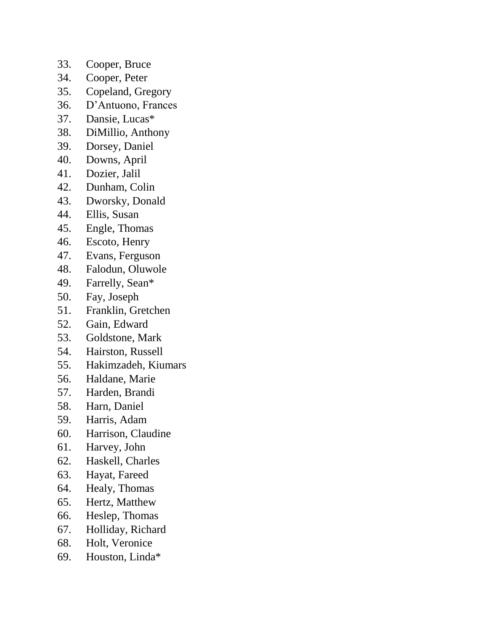- 33. Cooper, Bruce
- 34. Cooper, Peter
- 35. Copeland, Gregory
- 36. D'Antuono, Frances
- 37. Dansie, Lucas\*
- 38. DiMillio, Anthony
- 39. Dorsey, Daniel
- 40. Downs, April
- 41. Dozier, Jalil
- 42. Dunham, Colin
- 43. Dworsky, Donald
- 44. Ellis, Susan
- 45. Engle, Thomas
- 46. Escoto, Henry
- 47. Evans, Ferguson
- 48. Falodun, Oluwole
- 49. Farrelly, Sean\*
- 50. Fay, Joseph
- 51. Franklin, Gretchen
- 52. Gain, Edward
- 53. Goldstone, Mark
- 54. Hairston, Russell
- 55. Hakimzadeh, Kiumars
- 56. Haldane, Marie
- 57. Harden, Brandi
- 58. Harn, Daniel
- 59. Harris, Adam
- 60. Harrison, Claudine
- 61. Harvey, John
- 62. Haskell, Charles
- 63. Hayat, Fareed
- 64. Healy, Thomas
- 65. Hertz, Matthew
- 66. Heslep, Thomas
- 67. Holliday, Richard
- 68. Holt, Veronice
- 69. Houston, Linda\*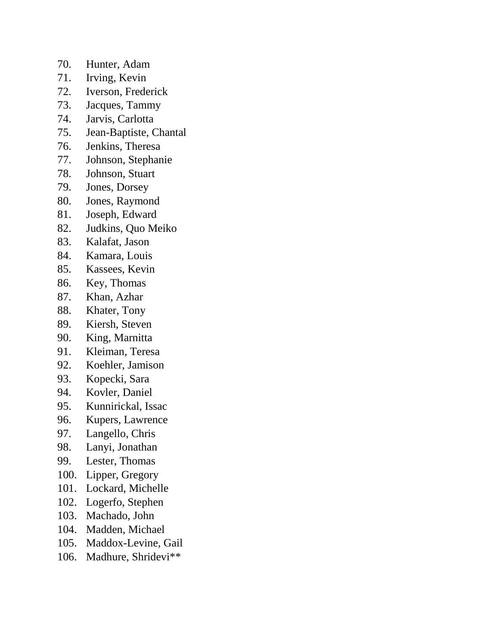- 70. Hunter, Adam
- 71. Irving, Kevin
- 72. Iverson, Frederick
- 73. Jacques, Tammy
- 74. Jarvis, Carlotta
- 75. Jean-Baptiste, Chantal
- 76. Jenkins, Theresa
- 77. Johnson, Stephanie
- 78. Johnson, Stuart
- 79. Jones, Dorsey
- 80. Jones, Raymond
- 81. Joseph, Edward
- 82. Judkins, Quo Meiko
- 83. Kalafat, Jason
- 84. Kamara, Louis
- 85. Kassees, Kevin
- 86. Key, Thomas
- 87. Khan, Azhar
- 88. Khater, Tony
- 89. Kiersh, Steven
- 90. King, Marnitta
- 91. Kleiman, Teresa
- 92. Koehler, Jamison
- 93. Kopecki, Sara
- 94. Kovler, Daniel
- 95. Kunnirickal, Issac
- 96. Kupers, Lawrence
- 97. Langello, Chris
- 98. Lanyi, Jonathan
- 99. Lester, Thomas
- 100. Lipper, Gregory
- 101. Lockard, Michelle
- 102. Logerfo, Stephen
- 103. Machado, John
- 104. Madden, Michael
- 105. Maddox-Levine, Gail
- 106. Madhure, Shridevi\*\*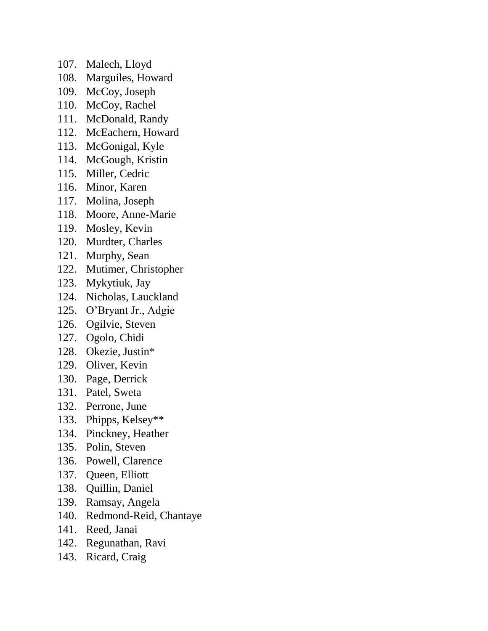- 107. Malech, Lloyd
- 108. Marguiles, Howard
- 109. McCoy, Joseph
- 110. McCoy, Rachel
- 111. McDonald, Randy
- 112. McEachern, Howard
- 113. McGonigal, Kyle
- 114. McGough, Kristin
- 115. Miller, Cedric
- 116. Minor, Karen
- 117. Molina, Joseph
- 118. Moore, Anne-Marie
- 119. Mosley, Kevin
- 120. Murdter, Charles
- 121. Murphy, Sean
- 122. Mutimer, Christopher
- 123. Mykytiuk, Jay
- 124. Nicholas, Lauckland
- 125. O'Bryant Jr., Adgie
- 126. Ogilvie, Steven
- 127. Ogolo, Chidi
- 128. Okezie, Justin\*
- 129. Oliver, Kevin
- 130. Page, Derrick
- 131. Patel, Sweta
- 132. Perrone, June
- 133. Phipps, Kelsey\*\*
- 134. Pinckney, Heather
- 135. Polin, Steven
- 136. Powell, Clarence
- 137. Queen, Elliott
- 138. Quillin, Daniel
- 139. Ramsay, Angela
- 140. Redmond-Reid, Chantaye
- 141. Reed, Janai
- 142. Regunathan, Ravi
- 143. Ricard, Craig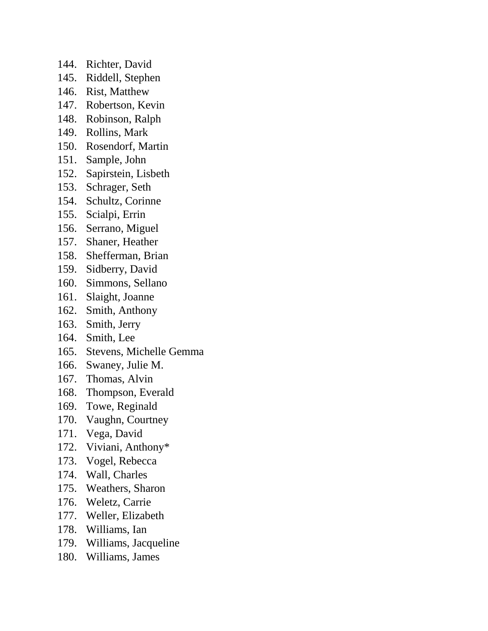- 144. Richter, David
- 145. Riddell, Stephen
- 146. Rist, Matthew
- 147. Robertson, Kevin
- 148. Robinson, Ralph
- 149. Rollins, Mark
- 150. Rosendorf, Martin
- 151. Sample, John
- 152. Sapirstein, Lisbeth
- 153. Schrager, Seth
- 154. Schultz, Corinne
- 155. Scialpi, Errin
- 156. Serrano, Miguel
- 157. Shaner, Heather
- 158. Shefferman, Brian
- 159. Sidberry, David
- 160. Simmons, Sellano
- 161. Slaight, Joanne
- 162. Smith, Anthony
- 163. Smith, Jerry
- 164. Smith, Lee
- 165. Stevens, Michelle Gemma
- 166. Swaney, Julie M.
- 167. Thomas, Alvin
- 168. Thompson, Everald
- 169. Towe, Reginald
- 170. Vaughn, Courtney
- 171. Vega, David
- 172. Viviani, Anthony\*
- 173. Vogel, Rebecca
- 174. Wall, Charles
- 175. Weathers, Sharon
- 176. Weletz, Carrie
- 177. Weller, Elizabeth
- 178. Williams, Ian
- 179. Williams, Jacqueline
- 180. Williams, James